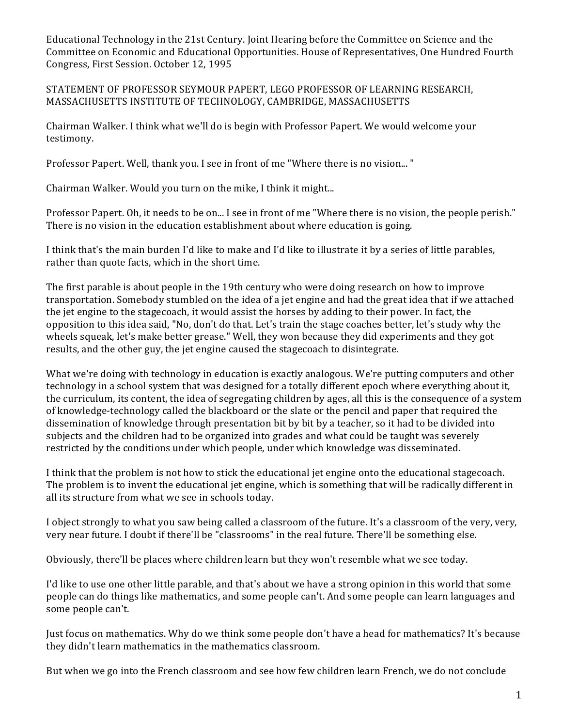Educational Technology in the 21st Century. Joint Hearing before the Committee on Science and the Committee on Economic and Educational Opportunities. House of Representatives, One Hundred Fourth Congress, First Session. October 12, 1995

## STATEMENT OF PROFESSOR SEYMOUR PAPERT, LEGO PROFESSOR OF LEARNING RESEARCH, MASSACHUSETTS INSTITUTE OF TECHNOLOGY, CAMBRIDGE, MASSACHUSETTS

Chairman Walker. I think what we'll do is begin with Professor Papert. We would welcome your testimony.

Professor Papert. Well, thank you. I see in front of me "Where there is no vision..."

Chairman Walker. Would you turn on the mike, I think it might...

Professor Papert. Oh, it needs to be on... I see in front of me "Where there is no vision, the people perish." There is no vision in the education establishment about where education is going.

I think that's the main burden I'd like to make and I'd like to illustrate it by a series of little parables, rather than quote facts, which in the short time.

The first parable is about people in the 19th century who were doing research on how to improve transportation. Somebody stumbled on the idea of a jet engine and had the great idea that if we attached the jet engine to the stagecoach, it would assist the horses by adding to their power. In fact, the opposition to this idea said, "No, don't do that. Let's train the stage coaches better, let's study why the wheels squeak, let's make better grease." Well, they won because they did experiments and they got results, and the other guy, the jet engine caused the stagecoach to disintegrate.

What we're doing with technology in education is exactly analogous. We're putting computers and other technology in a school system that was designed for a totally different epoch where everything about it, the curriculum, its content, the idea of segregating children by ages, all this is the consequence of a system of knowledge-technology called the blackboard or the slate or the pencil and paper that required the dissemination of knowledge through presentation bit by bit by a teacher, so it had to be divided into subjects and the children had to be organized into grades and what could be taught was severely restricted by the conditions under which people, under which knowledge was disseminated.

I think that the problem is not how to stick the educational jet engine onto the educational stagecoach. The problem is to invent the educational jet engine, which is something that will be radically different in all its structure from what we see in schools today.

I object strongly to what you saw being called a classroom of the future. It's a classroom of the very, very, very near future. I doubt if there'll be "classrooms" in the real future. There'll be something else.

Obviously, there'll be places where children learn but they won't resemble what we see today.

I'd like to use one other little parable, and that's about we have a strong opinion in this world that some people can do things like mathematics, and some people can't. And some people can learn languages and some people can't.

Just focus on mathematics. Why do we think some people don't have a head for mathematics? It's because they didn't learn mathematics in the mathematics classroom.

But when we go into the French classroom and see how few children learn French, we do not conclude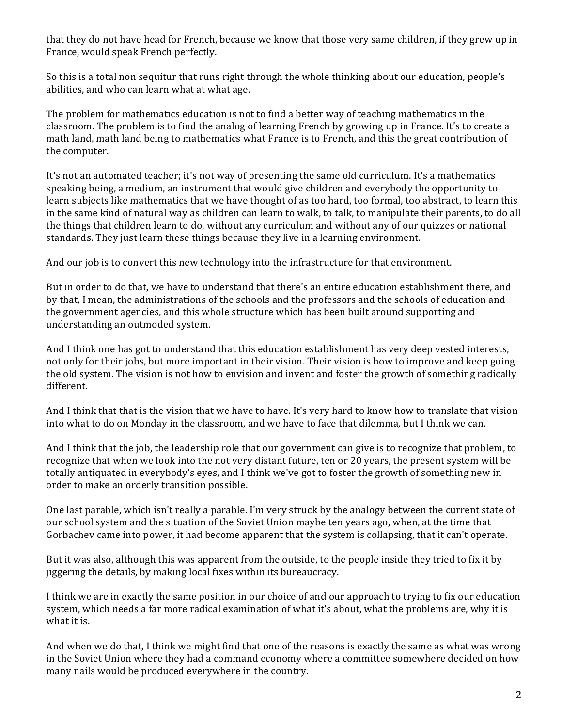that they do not have head for French, because we know that those very same children, if they grew up in France, would speak French perfectly.

So this is a total non sequitur that runs right through the whole thinking about our education, people's abilities, and who can learn what at what age.

The problem for mathematics education is not to find a better way of teaching mathematics in the classroom. The problem is to find the analog of learning French by growing up in France. It's to create a math land, math land being to mathematics what France is to French, and this the great contribution of the computer.

It's not an automated teacher; it's not way of presenting the same old curriculum. It's a mathematics speaking being, a medium, an instrument that would give children and everybody the opportunity to learn subjects like mathematics that we have thought of as too hard, too formal, too abstract, to learn this in the same kind of natural way as children can learn to walk, to talk, to manipulate their parents, to do all the things that children learn to do, without any curriculum and without any of our quizzes or national standards. They just learn these things because they live in a learning environment.

And our job is to convert this new technology into the infrastructure for that environment.

But in order to do that, we have to understand that there's an entire education establishment there, and by that, I mean, the administrations of the schools and the professors and the schools of education and the government agencies, and this whole structure which has been built around supporting and understanding an outmoded system.

And I think one has got to understand that this education establishment has very deep vested interests, not only for their jobs, but more important in their vision. Their vision is how to improve and keep going the old system. The vision is not how to envision and invent and foster the growth of something radically different.

And I think that that is the vision that we have to have. It's very hard to know how to translate that vision into what to do on Monday in the classroom, and we have to face that dilemma, but I think we can.

And I think that the job, the leadership role that our government can give is to recognize that problem, to recognize that when we look into the not very distant future, ten or 20 years, the present system will be totally antiquated in everybody's eyes, and I think we've got to foster the growth of something new in order to make an orderly transition possible.

One last parable, which isn't really a parable. I'm very struck by the analogy between the current state of our school system and the situation of the Soviet Union maybe ten years ago, when, at the time that Gorbachev came into power, it had become apparent that the system is collapsing, that it can't operate.

But it was also, although this was apparent from the outside, to the people inside they tried to fix it by jiggering the details, by making local fixes within its bureaucracy.

I think we are in exactly the same position in our choice of and our approach to trying to fix our education system, which needs a far more radical examination of what it's about, what the problems are, why it is what it is.

And when we do that, I think we might find that one of the reasons is exactly the same as what was wrong in the Soviet Union where they had a command economy where a committee somewhere decided on how many nails would be produced everywhere in the country.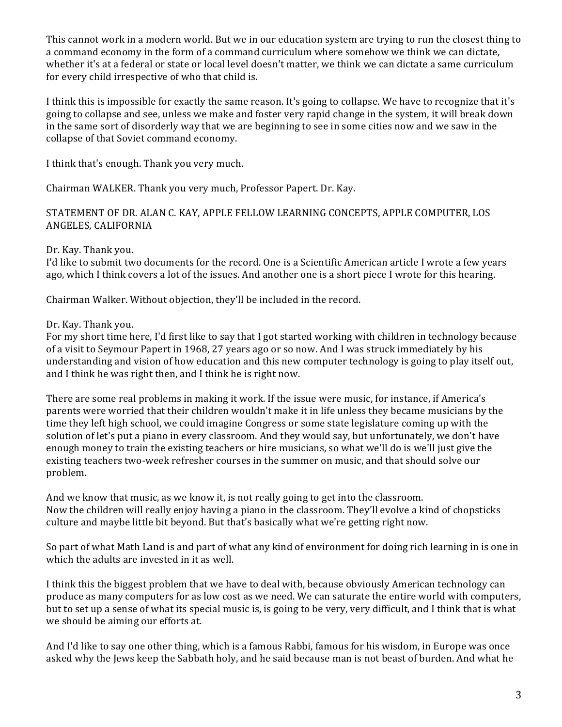This cannot work in a modern world. But we in our education system are trying to run the closest thing to a command economy in the form of a command curriculum where somehow we think we can dictate, whether it's at a federal or state or local level doesn't matter, we think we can dictate a same curriculum for every child irrespective of who that child is.

I think this is impossible for exactly the same reason. It's going to collapse. We have to recognize that it's going to collapse and see, unless we make and foster very rapid change in the system, it will break down in the same sort of disorderly way that we are beginning to see in some cities now and we saw in the collapse of that Soviet command economy.

I think that's enough. Thank you very much.

Chairman WALKER. Thank you very much, Professor Papert. Dr. Kay.

STATEMENT OF DR. ALAN C. KAY, APPLE FELLOW LEARNING CONCEPTS, APPLE COMPUTER, LOS ANGELES, CALIFORNIA

Dr. Kay. Thank you.

I'd like to submit two documents for the record. One is a Scientific American article I wrote a few years ago, which I think covers a lot of the issues. And another one is a short piece I wrote for this hearing.

Chairman Walker. Without objection, they'll be included in the record.

Dr. Kay. Thank you.

For my short time here, I'd first like to say that I got started working with children in technology because of a visit to Seymour Papert in 1968, 27 years ago or so now. And I was struck immediately by his understanding and vision of how education and this new computer technology is going to play itself out, and I think he was right then, and I think he is right now.

There are some real problems in making it work. If the issue were music, for instance, if America's parents were worried that their children wouldn't make it in life unless they became musicians by the time they left high school, we could imagine Congress or some state legislature coming up with the solution of let's put a piano in every classroom. And they would say, but unfortunately, we don't have enough money to train the existing teachers or hire musicians, so what we'll do is we'll just give the existing teachers two-week refresher courses in the summer on music, and that should solve our problem.

And we know that music, as we know it, is not really going to get into the classroom. Now the children will really enjoy having a piano in the classroom. They'll evolve a kind of chopsticks culture and maybe little bit beyond. But that's basically what we're getting right now.

So part of what Math Land is and part of what any kind of environment for doing rich learning in is one in which the adults are invested in it as well.

I think this the biggest problem that we have to deal with, because obviously American technology can produce as many computers for as low cost as we need. We can saturate the entire world with computers, but to set up a sense of what its special music is, is going to be very, very difficult, and I think that is what we should be aiming our efforts at.

And I'd like to say one other thing, which is a famous Rabbi, famous for his wisdom, in Europe was once asked why the Jews keep the Sabbath holy, and he said because man is not beast of burden. And what he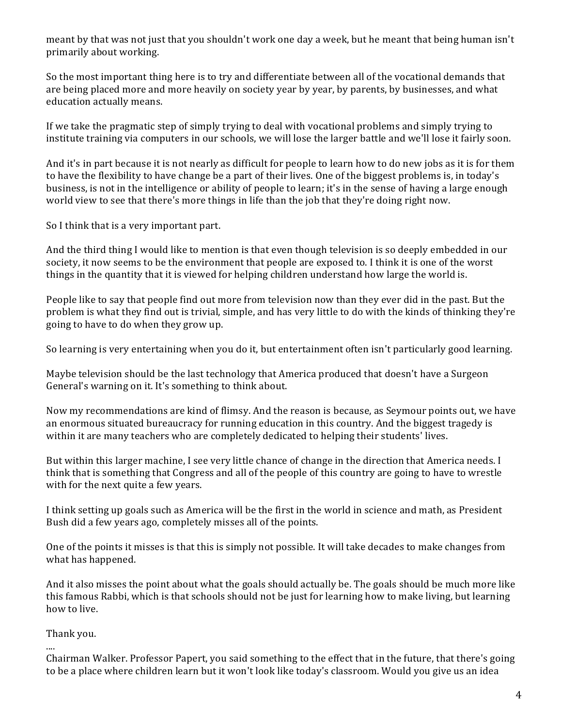meant by that was not just that you shouldn't work one day a week, but he meant that being human isn't primarily about working.

So the most important thing here is to try and differentiate between all of the vocational demands that are being placed more and more heavily on society year by year, by parents, by businesses, and what education actually means.

If we take the pragmatic step of simply trying to deal with vocational problems and simply trying to institute training via computers in our schools, we will lose the larger battle and we'll lose it fairly soon.

And it's in part because it is not nearly as difficult for people to learn how to do new jobs as it is for them to have the flexibility to have change be a part of their lives. One of the biggest problems is, in today's business, is not in the intelligence or ability of people to learn; it's in the sense of having a large enough world view to see that there's more things in life than the job that they're doing right now.

So I think that is a very important part.

And the third thing I would like to mention is that even though television is so deeply embedded in our society, it now seems to be the environment that people are exposed to. I think it is one of the worst things in the quantity that it is viewed for helping children understand how large the world is.

People like to say that people find out more from television now than they ever did in the past. But the problem is what they find out is trivial, simple, and has very little to do with the kinds of thinking they're going to have to do when they grow up.

So learning is very entertaining when you do it, but entertainment often isn't particularly good learning.

Maybe television should be the last technology that America produced that doesn't have a Surgeon General's warning on it. It's something to think about.

Now my recommendations are kind of flimsy. And the reason is because, as Seymour points out, we have an enormous situated bureaucracy for running education in this country. And the biggest tragedy is within it are many teachers who are completely dedicated to helping their students' lives.

But within this larger machine, I see very little chance of change in the direction that America needs. I think that is something that Congress and all of the people of this country are going to have to wrestle with for the next quite a few years.

I think setting up goals such as America will be the first in the world in science and math, as President Bush did a few years ago, completely misses all of the points.

One of the points it misses is that this is simply not possible. It will take decades to make changes from what has happened.

And it also misses the point about what the goals should actually be. The goals should be much more like this famous Rabbi, which is that schools should not be just for learning how to make living, but learning how to live.

## Thank you.

.... Chairman Walker. Professor Papert, you said something to the effect that in the future, that there's going to be a place where children learn but it won't look like today's classroom. Would you give us an idea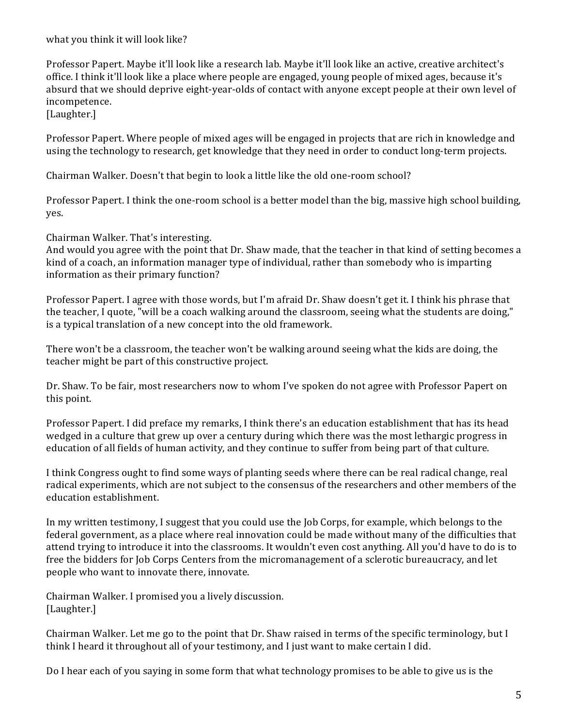what you think it will look like?

Professor Papert. Maybe it'll look like a research lab. Maybe it'll look like an active, creative architect's office. I think it'll look like a place where people are engaged, young people of mixed ages, because it's absurd that we should deprive eight-year-olds of contact with anyone except people at their own level of incompetence.

[Laughter.]

Professor Papert. Where people of mixed ages will be engaged in projects that are rich in knowledge and using the technology to research, get knowledge that they need in order to conduct long-term projects.

Chairman Walker. Doesn't that begin to look a little like the old one-room school?

Professor Papert. I think the one-room school is a better model than the big, massive high school building, yes.

Chairman Walker. That's interesting.

And would you agree with the point that Dr. Shaw made, that the teacher in that kind of setting becomes a kind of a coach, an information manager type of individual, rather than somebody who is imparting information as their primary function?

Professor Papert. I agree with those words, but I'm afraid Dr. Shaw doesn't get it. I think his phrase that the teacher, I quote, "will be a coach walking around the classroom, seeing what the students are doing," is a typical translation of a new concept into the old framework.

There won't be a classroom, the teacher won't be walking around seeing what the kids are doing, the teacher might be part of this constructive project.

Dr. Shaw. To be fair, most researchers now to whom I've spoken do not agree with Professor Papert on this point.

Professor Papert. I did preface my remarks, I think there's an education establishment that has its head wedged in a culture that grew up over a century during which there was the most lethargic progress in education of all fields of human activity, and they continue to suffer from being part of that culture.

I think Congress ought to find some ways of planting seeds where there can be real radical change, real radical experiments, which are not subject to the consensus of the researchers and other members of the education establishment.

In my written testimony, I suggest that you could use the Job Corps, for example, which belongs to the federal government, as a place where real innovation could be made without many of the difficulties that attend trying to introduce it into the classrooms. It wouldn't even cost anything. All you'd have to do is to free the bidders for Job Corps Centers from the micromanagement of a sclerotic bureaucracy, and let people who want to innovate there, innovate.

Chairman Walker. I promised you a lively discussion. [Laughter.]

Chairman Walker. Let me go to the point that Dr. Shaw raised in terms of the specific terminology, but I think I heard it throughout all of your testimony, and I just want to make certain I did.

Do I hear each of you saying in some form that what technology promises to be able to give us is the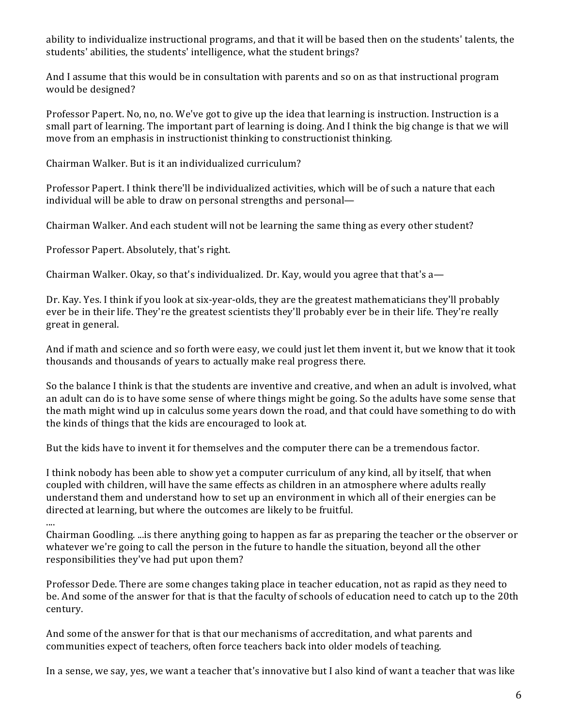ability to individualize instructional programs, and that it will be based then on the students' talents, the students' abilities, the students' intelligence, what the student brings?

And I assume that this would be in consultation with parents and so on as that instructional program would be designed?

Professor Papert. No, no, no. We've got to give up the idea that learning is instruction. Instruction is a small part of learning. The important part of learning is doing. And I think the big change is that we will move from an emphasis in instructionist thinking to constructionist thinking.

Chairman Walker. But is it an individualized curriculum?

Professor Papert. I think there'll be individualized activities, which will be of such a nature that each individual will be able to draw on personal strengths and personal—

Chairman Walker. And each student will not be learning the same thing as every other student?

Professor Papert. Absolutely, that's right.

Chairman Walker. Okay, so that's individualized. Dr. Kay, would you agree that that's  $a$ —

Dr. Kay. Yes. I think if you look at six-year-olds, they are the greatest mathematicians they'll probably ever be in their life. They're the greatest scientists they'll probably ever be in their life. They're really great in general.

And if math and science and so forth were easy, we could just let them invent it, but we know that it took thousands and thousands of years to actually make real progress there.

So the balance I think is that the students are inventive and creative, and when an adult is involved, what an adult can do is to have some sense of where things might be going. So the adults have some sense that the math might wind up in calculus some years down the road, and that could have something to do with the kinds of things that the kids are encouraged to look at.

But the kids have to invent it for themselves and the computer there can be a tremendous factor.

I think nobody has been able to show yet a computer curriculum of any kind, all by itself, that when coupled with children, will have the same effects as children in an atmosphere where adults really understand them and understand how to set up an environment in which all of their energies can be directed at learning, but where the outcomes are likely to be fruitful.

....

Chairman Goodling. ... is there anything going to happen as far as preparing the teacher or the observer or whatever we're going to call the person in the future to handle the situation, beyond all the other responsibilities they've had put upon them?

Professor Dede. There are some changes taking place in teacher education, not as rapid as they need to be. And some of the answer for that is that the faculty of schools of education need to catch up to the 20th century.

And some of the answer for that is that our mechanisms of accreditation, and what parents and communities expect of teachers, often force teachers back into older models of teaching.

In a sense, we say, yes, we want a teacher that's innovative but I also kind of want a teacher that was like